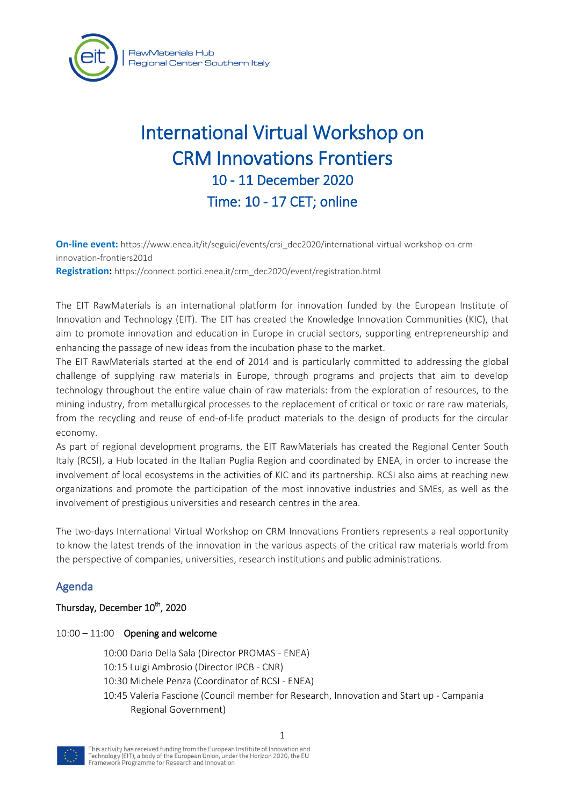

# International Virtual Workshop on CRM Innovations Frontiers 10 - 11 December 2020 Time: 10 - 17 CET; online

**On-line event:** https://www.enea.it/it/seguici/events/crsi\_dec2020/international-virtual-workshop-on-crminnovation-frontiers201d **Registration:** https://connect.portici.enea.it/crm\_dec2020/event/registration.html

The EIT RawMaterials is an international platform for innovation funded by the European Institute of Innovation and Technology (EIT). The EIT has created the Knowledge Innovation Communities (KIC), that aim to promote innovation and education in Europe in crucial sectors, supporting entrepreneurship and enhancing the passage of new ideas from the incubation phase to the market.

The EIT RawMaterials started at the end of 2014 and is particularly committed to addressing the global challenge of supplying raw materials in Europe, through programs and projects that aim to develop technology throughout the entire value chain of raw materials: from the exploration of resources, to the mining industry, from metallurgical processes to the replacement of critical or toxic or rare raw materials, from the recycling and reuse of end-of-life product materials to the design of products for the circular economy.

As part of regional development programs, the EIT RawMaterials has created the Regional Center South Italy (RCSI), a Hub located in the Italian Puglia Region and coordinated by ENEA, in order to increase the involvement of local ecosystems in the activities of KIC and its partnership. RCSI also aims at reaching new organizations and promote the participation of the most innovative industries and SMEs, as well as the involvement of prestigious universities and research centres in the area.

The two-days International Virtual Workshop on CRM Innovations Frontiers represents a real opportunity to know the latest trends of the innovation in the various aspects of the critical raw materials world from the perspective of companies, universities, research institutions and public administrations.

## Agenda

## Thursday, December 10<sup>th</sup>, 2020

## $10:00 - 11:00$  Opening and welcome

- 10:00 Dario Della Sala (Director PROMAS ENEA)
- 10:15 Luigi Ambrosio (Director IPCB CNR)
- 10:30 Michele Penza (Coordinator of RCSI ENEA)
- 10:45 Valeria Fascione (Council member for Research, Innovation and Start up Campania Regional Government)

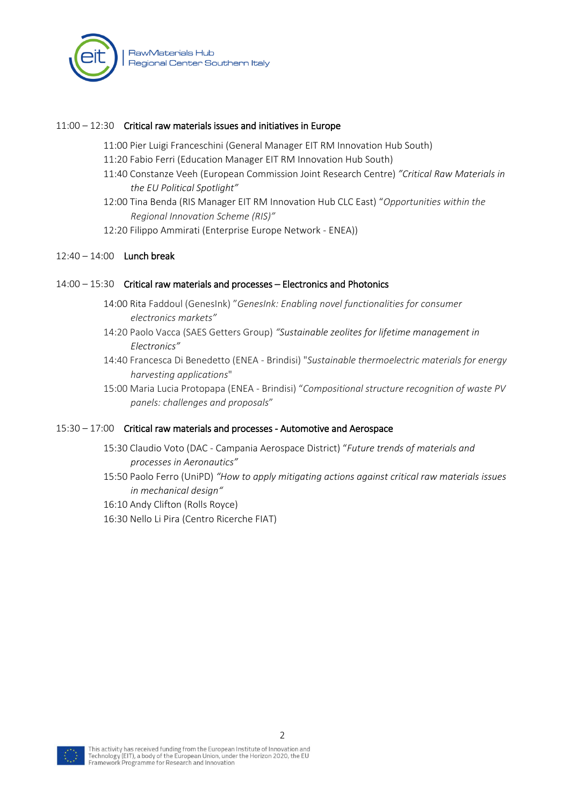

## 11:00 – 12:30 Critical raw materials issues and initiatives in Europe

- 11:00 Pier Luigi Franceschini (General Manager EIT RM Innovation Hub South)
- 11:20 Fabio Ferri (Education Manager EIT RM Innovation Hub South)
- 11:40 Constanze Veeh (European Commission Joint Research Centre) *"Critical Raw Materials in the EU Political Spotlight"*
- 12:00 Tina Benda (RIS Manager EIT RM Innovation Hub CLC East) "*Opportunities within the Regional Innovation Scheme (RIS)"*
- 12:20 Filippo Ammirati (Enterprise Europe Network ENEA))

## 12:40 – 14:00 Lunch break

## 14:00 – 15:30 Critical raw materials and processes – Electronics and Photonics

- 14:00 Rita Faddoul (GenesInk) "*GenesInk: Enabling novel functionalities for consumer electronics markets"*
- 14:20 Paolo Vacca (SAES Getters Group) *"Sustainable zeolites for lifetime management in Electronics"*
- 14:40 Francesca Di Benedetto (ENEA Brindisi) "*Sustainable thermoelectric materials for energy harvesting applications*"
- 15:00 Maria Lucia Protopapa (ENEA Brindisi) "*Compositional structure recognition of waste PV panels: challenges and proposals*"

## 15:30 – 17:00 Critical raw materials and processes - Automotive and Aerospace

- 15:30 Claudio Voto (DAC Campania Aerospace District) "*Future trends of materials and processes in Aeronautics"*
- 15:50 Paolo Ferro (UniPD) *"How to apply mitigating actions against critical raw materials issues in mechanical design"*
- 16:10 Andy Clifton (Rolls Royce)
- 16:30 Nello Li Pira (Centro Ricerche FIAT)

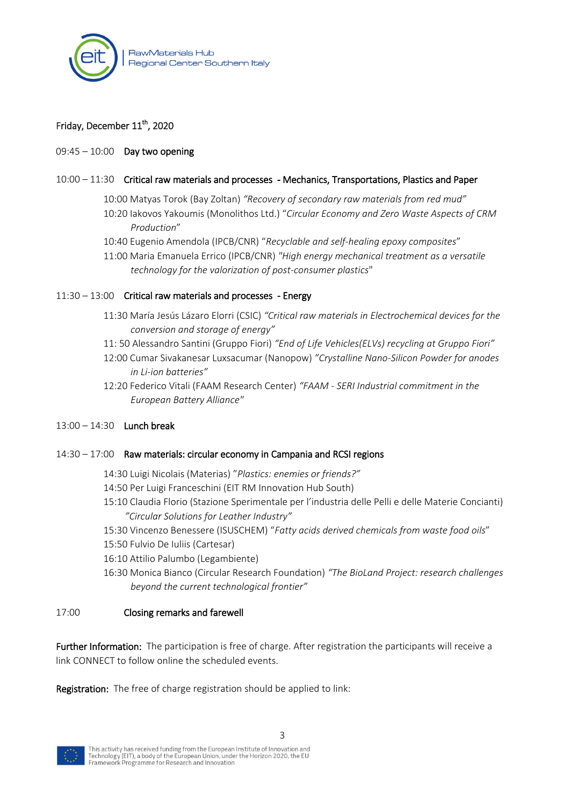

## Friday, December 11<sup>th</sup>, 2020

## 09:45 – 10:00 Day two opening

#### 10:00 – 11:30 Critical raw materials and processes - Mechanics, Transportations, Plastics and Paper

- 10:00 Matyas Torok (Bay Zoltan) *"Recovery of secondary raw materials from red mud"*
- 10:20 Iakovos Yakoumis (Monolithos Ltd.) "*Circular Economy and Zero Waste Aspects of CRM Production*"
- 10:40 Eugenio Amendola (IPCB/CNR) "*Recyclable and self-healing epoxy composites*"
- 11:00 Maria Emanuela Errico (IPCB/CNR) *"High energy mechanical treatment as a versatile technology for the valorization of post-consumer plastics*"

## 11:30 – 13:00 Critical raw materials and processes - Energy

- 11:30 María Jesús Lázaro Elorri (CSIC) *"Critical raw materials in Electrochemical devices for the conversion and storage of energy"*
- 11: 50 Alessandro Santini (Gruppo Fiori) *"End of Life Vehicles(ELVs) recycling at Gruppo Fiori"*
- 12:00 Cumar Sivakanesar Luxsacumar (Nanopow) *"Crystalline Nano-Silicon Powder for anodes in Li-ion batteries"*
- 12:20 Federico Vitali (FAAM Research Center) *"FAAM - SERI Industrial commitment in the European Battery Alliance"*
- 13:00 14:30 Lunch break

#### 14:30 – 17:00 Raw materials: circular economy in Campania and RCSI regions

- 14:30 Luigi Nicolais (Materias) "*Plastics: enemies or friends?"*
- 14:50 Per Luigi Franceschini (EIT RM Innovation Hub South)
- 15:10 Claudia Florio (Stazione Sperimentale per l'industria delle Pelli e delle Materie Concianti) *"Circular Solutions for Leather Industry"*
- 15:30 Vincenzo Benessere (ISUSCHEM) "*Fatty acids derived chemicals from waste food oils*"
- 15:50 Fulvio De Iuliis (Cartesar)
- 16:10 Attilio Palumbo (Legambiente)
- 16:30 Monica Bianco (Circular Research Foundation) *"The BioLand Project: research challenges beyond the current technological frontier"*

## 17:00 Closing remarks and farewell

Further Information: The participation is free of charge. After registration the participants will receive a link CONNECT to follow online the scheduled events.

Registration: The free of charge registration should be applied to link: